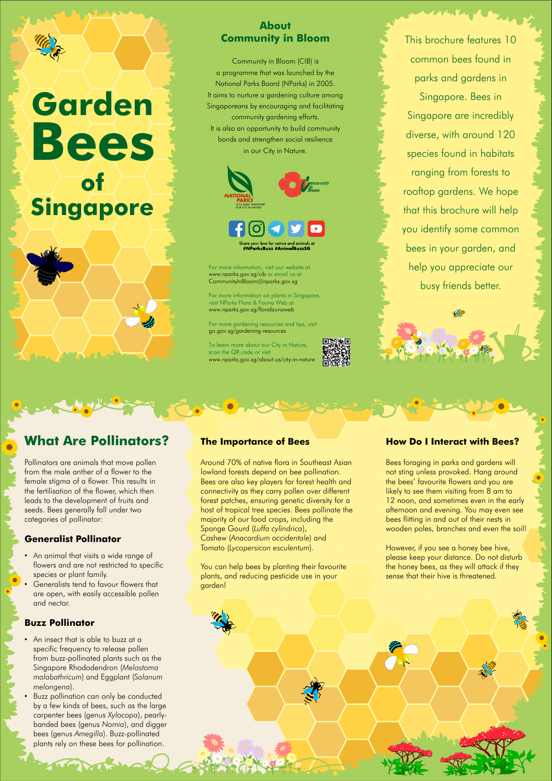## **What Are Pollinators?**

Pollinators are animals that move pollen from the male anther of a flower to the female stigma of a flower. This results in the fertilisation of the flower, which then leads to the development of fruits and seeds. Bees generally fall under two categories of pollinator:

## **Generalist Pollinator**

- An animal that visits a wide range of flowers and are not restricted to specific species or plant family.
- Generalists tend to favour flowers that

- An insect that is able to buzz at a specific frequency to release pollen from buzz-pollinated plants such as the Singapore Rhododendron (*Melastoma malabathricum*) and Eggplant (*Solanum melongena*).
- Buzz pollination can only be conducted by a few kinds of bees, such as the large carpenter bees (genus *Xylocopa*), pearlybanded bees (genus *Nomia*), and digger bees (genus *Amegilla*). Buzz-pollinated plants rely on these bees for pollination.

are open, with easily accessible pollen and nectar.

#### **Buzz Pollinator**

## **The Importance of Bees**

Around 70% of native flora in Southeast Asian lowland forests depend on bee pollination. Bees are also key players for forest health and connectivity as they carry pollen over different forest patches, ensuring genetic diversity for a host of tropical tree species. Bees pollinate the majority of our food crops, including the Sponge Gourd (*Luffa cylindrica*), Cashew (*Anacardium occidentale*) and Tomato (*Lycopersicon esculentum*).

You can help bees by planting their favourite plants, and reducing pesticide use in your garden!

Bees foraging in parks and gardens will not sting unless provoked. Hang around the bees' favourite flowers and you are likely to see them visiting from 8 am to 12 noon, and sometimes even in the early afternoon and evening. You may even see bees flitting in and out of their nests in wooden poles, branches and even the soil!

However, if you see a honey bee hive, please keep your distance. Do not disturb the honey bees, as they will attack if they sense that their hive is threatened.

### **How Do I Interact with Bees?**

This brochure features 10 common bees found in parks and gardens in Singapore. Bees in Singapore are incredibly diverse, with around 120 species found in habitats ranging from forests to rooftop gardens. We hope that this brochure will help you identify some common bees in your garden, and help you appreciate our busy friends better.

## **About Community in Bloom**

Community in Bloom (CIB) is a programme that was launched by the National Parks Board (NParks) in 2005. It aims to nurture a gardening culture among Singaporeans by encouraging and facilitating community gardening efforts. It is also an opportunity to build community bonds and strengthen social resilience in our City in Nature.



#NParksBuzz #Anima|BuzzSG

For more information, visit our website at www.nparks.gov.sg/cib or email us at CommunityInBloom@nparks.gov.sg

For more information on plants in Singapore, visit NParks Flora & Fauna Web at www.nparks.gov.sg/florafaunaweb

For more gardening resources and tips, visit go.gov.sg/gardening-resources

To learn more about our City in Nature, scan the QR code or visit www.nparks.gov.sg/about-us/city-in-nature

# **Garden of Singapore Bees**